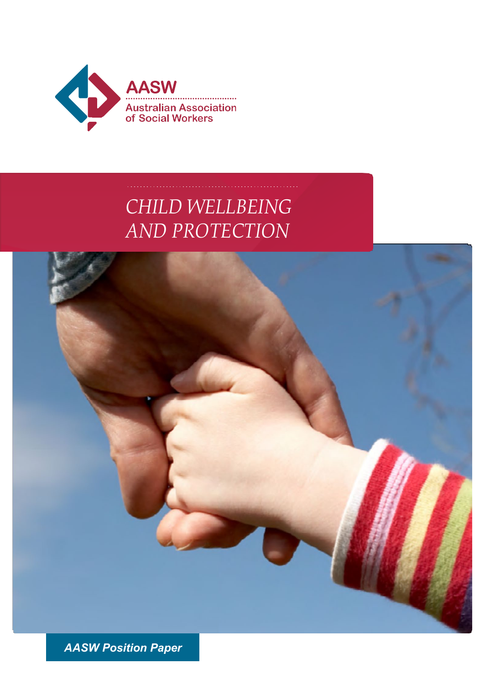

# *CHILD WELLBEING AND PROTECTION*



*AASW Position Paper*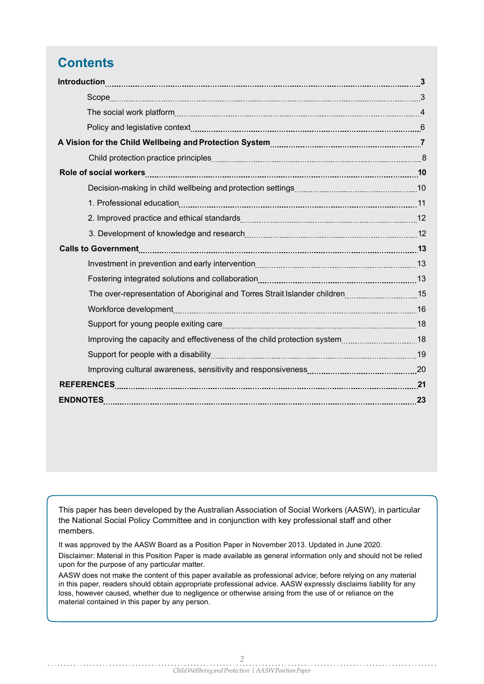### **Contents**

| A Vision for the Child Wellbeing and Protection System [11] [12] Martham Marson T |
|-----------------------------------------------------------------------------------|
|                                                                                   |
|                                                                                   |
|                                                                                   |
|                                                                                   |
|                                                                                   |
|                                                                                   |
|                                                                                   |
|                                                                                   |
|                                                                                   |
| The over-representation of Aboriginal and Torres Strait Islander children15       |
|                                                                                   |
|                                                                                   |
|                                                                                   |
|                                                                                   |
|                                                                                   |
|                                                                                   |
|                                                                                   |
|                                                                                   |

This paper has been developed by the Australian Association of Social Workers (AASW), in particular the National Social Policy Committee and in conjunction with key professional staff and other members.

It was approved by the AASW Board as a Position Paper in November 2013. Updated in June 2020.

Disclaimer: Material in this Position Paper is made available as general information only and should not be relied upon for the purpose of any particular matter.

AASW does not make the content of this paper available as professional advice; before relying on any material in this paper, readers should obtain appropriate professional advice. AASW expressly disclaims liability for any loss, however caused, whether due to negligence or otherwise arising from the use of or reliance on the material contained in this paper by any person.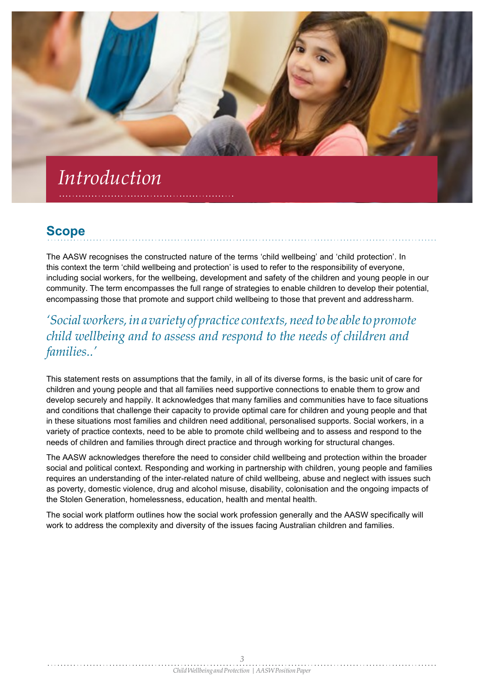# *Introduction*

### **Scope**

The AASW recognises the constructed nature of the terms 'child wellbeing' and 'child protection'. In this context the term 'child wellbeing and protection' is used to refer to the responsibility of everyone, including social workers, for the wellbeing, development and safety of the children and young people in our community. The term encompasses the full range of strategies to enable children to develop their potential, encompassing those that promote and support child wellbeing to those that prevent and addressharm.

*'Socialworkers,ina variety of practice contexts,need to be ableto promote child wellbeing and to assess and respond to the needs of children and families..'*

This statement rests on assumptions that the family, in all of its diverse forms, is the basic unit of care for children and young people and that all families need supportive connections to enable them to grow and develop securely and happily. It acknowledges that many families and communities have to face situations and conditions that challenge their capacity to provide optimal care for children and young people and that in these situations most families and children need additional, personalised supports. Social workers, in a variety of practice contexts, need to be able to promote child wellbeing and to assess and respond to the needs of children and families through direct practice and through working for structural changes.

The AASW acknowledges therefore the need to consider child wellbeing and protection within the broader social and political context. Responding and working in partnership with children, young people and families requires an understanding of the inter-related nature of child wellbeing, abuse and neglect with issues such as poverty, domestic violence, drug and alcohol misuse, disability, colonisation and the ongoing impacts of the Stolen Generation, homelessness, education, health and mental health.

The social work platform outlines how the social work profession generally and the AASW specifically will work to address the complexity and diversity of the issues facing Australian children and families.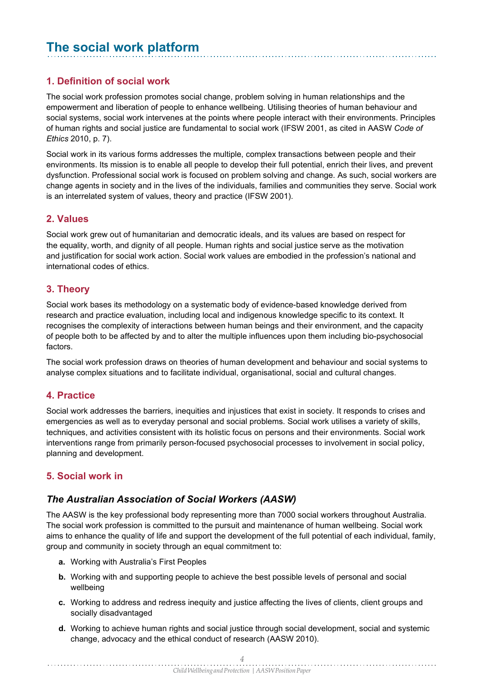### **The social work platform**

#### **1. Definition of social work**

The social work profession promotes social change, problem solving in human relationships and the empowerment and liberation of people to enhance wellbeing. Utilising theories of human behaviour and social systems, social work intervenes at the points where people interact with their environments. Principles of human rights and social justice are fundamental to social work (IFSW 2001, as cited in AASW *Code of Ethics* 2010, p. 7).

Social work in its various forms addresses the multiple, complex transactions between people and their environments. Its mission is to enable all people to develop their full potential, enrich their lives, and prevent dysfunction. Professional social work is focused on problem solving and change. As such, social workers are change agents in society and in the lives of the individuals, families and communities they serve. Social work is an interrelated system of values, theory and practice (IFSW 2001).

#### **2. Values**

Social work grew out of humanitarian and democratic ideals, and its values are based on respect for the equality, worth, and dignity of all people. Human rights and social justice serve as the motivation and justification for social work action. Social work values are embodied in the profession's national and international codes of ethics.

#### **3. Theory**

Social work bases its methodology on a systematic body of evidence-based knowledge derived from research and practice evaluation, including local and indigenous knowledge specific to its context. It recognises the complexity of interactions between human beings and their environment, and the capacity of people both to be affected by and to alter the multiple influences upon them including bio-psychosocial factors.

The social work profession draws on theories of human development and behaviour and social systems to analyse complex situations and to facilitate individual, organisational, social and cultural changes.

#### **4. Practice**

Social work addresses the barriers, inequities and injustices that exist in society. It responds to crises and emergencies as well as to everyday personal and social problems. Social work utilises a variety of skills, techniques, and activities consistent with its holistic focus on persons and their environments. Social work interventions range from primarily person-focused psychosocial processes to involvement in social policy, planning and development.

#### **5. Social work in**

#### *The Australian Association of Social Workers (AASW)*

The AASW is the key professional body representing more than 7000 social workers throughout Australia. The social work profession is committed to the pursuit and maintenance of human wellbeing. Social work aims to enhance the quality of life and support the development of the full potential of each individual, family, group and community in society through an equal commitment to:

**a.** Working with Australia's First Peoples

- **b.** Working with and supporting people to achieve the best possible levels of personal and social wellbeing
- Working to address and redress inequity and justice affecting the lives of clients, client groups and **c.** socially disadvantaged
- Working to achieve human rights and social justice through social development, social and systemic **d.** change, advocacy and the ethical conduct of research (AASW 2010).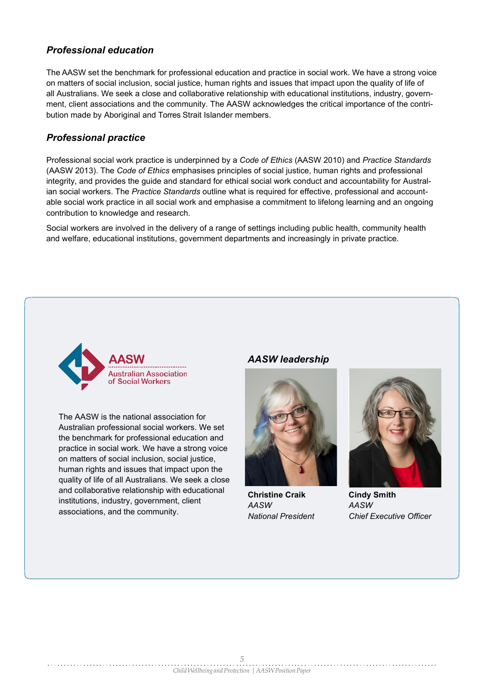#### *Professional education*

The AASW set the benchmark for professional education and practice in social work. We have a strong voice on matters of social inclusion, social justice, human rights and issues that impact upon the quality of life of all Australians. We seek a close and collaborative relationship with educational institutions, industry, government, client associations and the community. The AASW acknowledges the critical importance of the contribution made by Aboriginal and Torres Strait Islander members.

#### *Professional practice*

Professional social work practice is underpinned by a *Code of Ethics* (AASW 2010) and *Practice Standards*  (AASW 2013). The *Code of Ethics* emphasises principles of social justice, human rights and professional integrity, and provides the guide and standard for ethical social work conduct and accountability for Australian social workers. The *Practice Standards* outline what is required for effective, professional and accountable social work practice in all social work and emphasise a commitment to lifelong learning and an ongoing contribution to knowledge and research.

Social workers are involved in the delivery of a range of settings including public health, community health and welfare, educational institutions, government departments and increasingly in private practice.



The AASW is the national association for Australian professional social workers. We set the benchmark for professional education and practice in social work. We have a strong voice on matters of social inclusion, social justice, human rights and issues that impact upon the quality of life of all Australians. We seek a close and collaborative relationship with educational institutions, industry, government, client associations, and the community.

#### *AASW leadership*



**Christine Craik** *AASW National President*



**Cindy Smith** *AASW Chief Executive Officer*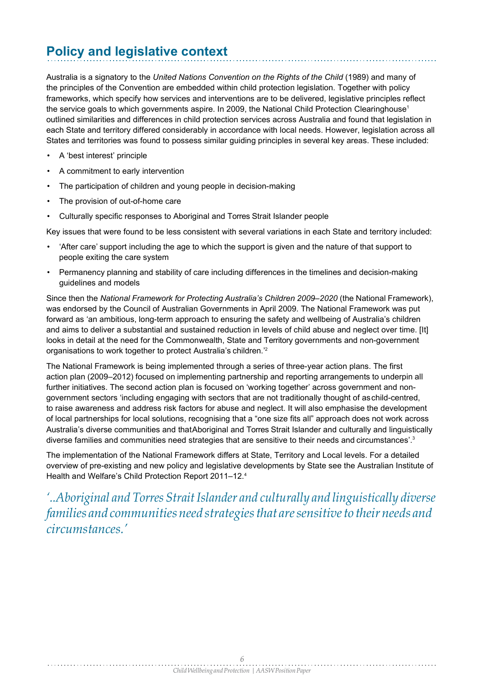### **Policy and legislative context**

Australia is a signatory to the *United Nations Convention on the Rights of the Child* (1989) and many of the principles of the Convention are embedded within child protection legislation. Together with policy frameworks, which specify how services and interventions are to be delivered, legislative principles reflect the service goals to which governments aspire. In 2009, the National Child Protection Clearinghouse<sup>1</sup> outlined similarities and differences in child protection services across Australia and found that legislation in each State and territory differed considerably in accordance with local needs. However, legislation across all States and territories was found to possess similar guiding principles in several key areas. These included:

- A 'best interest' principle
- A commitment to early intervention
- The participation of children and young people in decision-making
- The provision of out-of-home care
- Culturally specific responses to Aboriginal and Torres Strait Islander people

Key issues that were found to be less consistent with several variations in each State and territory included:

- 'After care' support including the age to which the support is given and the nature of that support to people exiting the care system
- Permanency planning and stability of care including differences in the timelines and decision-making guidelines and models

Since then the *National Framework for Protecting Australia's Children 2009–2020* (the National Framework), was endorsed by the Council of Australian Governments in April 2009. The National Framework was put forward as 'an ambitious, long-term approach to ensuring the safety and wellbeing of Australia's children and aims to deliver a substantial and sustained reduction in levels of child abuse and neglect over time. [It] looks in detail at the need for the Commonwealth, State and Territory governments and non-government organisations to work together to protect Australia's children.'2

The National Framework is being implemented through a series of three-year action plans. The first action plan (2009–2012) focused on implementing partnership and reporting arrangements to underpin all further initiatives. The second action plan is focused on 'working together' across government and nongovernment sectors 'including engaging with sectors that are not traditionally thought of aschild-centred, to raise awareness and address risk factors for abuse and neglect. It will also emphasise the development of local partnerships for local solutions, recognising that a "one size fits all" approach does not work across Australia's diverse communities and thatAboriginal and Torres Strait Islander and culturally and linguistically diverse families and communities need strategies that are sensitive to their needs and circumstances'.3

The implementation of the National Framework differs at State, Territory and Local levels. For a detailed overview of pre-existing and new policy and legislative developments by State see the Australian Institute of Health and Welfare's Child Protection Report 2011–12.4

*'..Aboriginal and Torres Strait Islander and culturally and linguistically diverse families and communitiesneed strategiesthat aresensitiveto theirneeds and circumstances.'*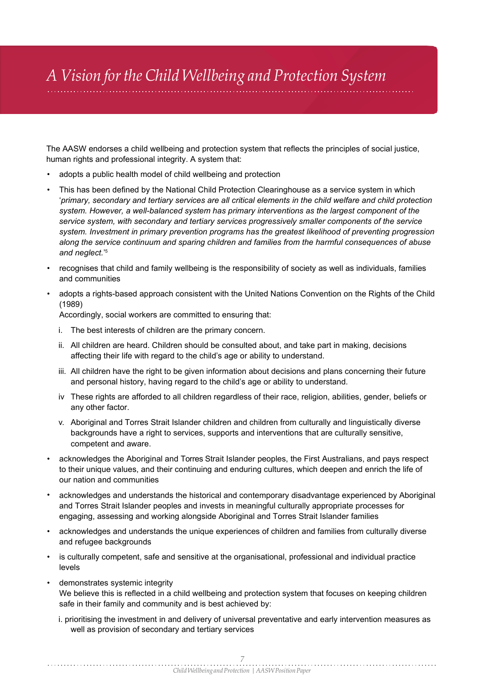# *A Vision forthe Child Wellbeing and Protection System*

The AASW endorses a child wellbeing and protection system that reflects the principles of social justice, human rights and professional integrity. A system that:

- adopts a public health model of child wellbeing and protection
- This has been defined by the National Child Protection Clearinghouse as a service system in which '*primary, secondary and tertiary services are all critical elements in the child welfare and child protection system. However, a well-balanced system has primary interventions as the largest component of the service system, with secondary and tertiary services progressively smaller components of the service system. Investment in primary prevention programs has the greatest likelihood of preventing progression along the service continuum and sparing children and families from the harmful consequences of abuse and neglect.*' 5
- recognises that child and family wellbeing is the responsibility of society as well as individuals, families and communities •
- adopts a rights-based approach consistent with the United Nations Convention on the Rights of the Child (1989) •

Accordingly, social workers are committed to ensuring that:

- i. The best interests of children are the primary concern.
- ii. All children are heard. Children should be consulted about, and take part in making, decisions affecting their life with regard to the child's age or ability to understand.
- iii. All children have the right to be given information about decisions and plans concerning their future  $\,$ and personal history, having regard to the child's age or ability to understand.
- iv These rights are afforded to all children regardless of their race, religion, abilities, gender, beliefs or any other factor.
- v. Aboriginal and Torres Strait Islander children and children from culturally and linguistically diverse backgrounds have a right to services, supports and interventions that are culturally sensitive, competent and aware.
- acknowledges the Aboriginal and Torres Strait Islander peoples, the First Australians, and pays respect to their unique values, and their continuing and enduring cultures, which deepen and enrich the life of our nation and communities
- $\bullet$   $\,$  acknowledges and understands the historical and contemporary disadvantage experienced by Aboriginal  $\,$ and Torres Strait Islander peoples and invests in meaningful culturally appropriate processes for engaging, assessing and working alongside Aboriginal and Torres Strait Islander families
- acknowledges and understands the unique experiences of children and families from culturally diverse and refugee backgrounds
- is culturally competent, safe and sensitive at the organisational, professional and individual practice levels •
- demonstrates systemic integrity We believe this is reflected in a child wellbeing and protection system that focuses on keeping children safe in their family and community and is best achieved by: •
	- i. prioritising the investment in and delivery of universal preventative and early intervention measures as well as provision of secondary and tertiary services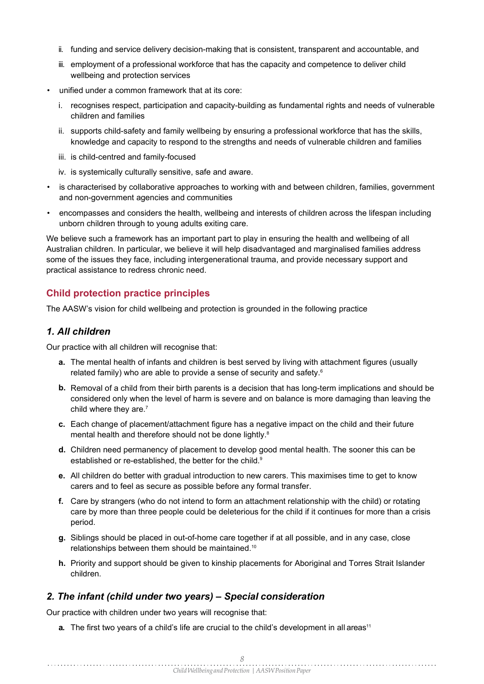- ii. funding and service delivery decision-making that is consistent, transparent and accountable, and
- iii. employment of a professional workforce that has the capacity and competence to deliver child wellbeing and protection services
- unified under a common framework that at its core:
	- i. recognises respect, participation and capacity-building as fundamental rights and needs of vulnerable children and families
	- ii.  $\,$  supports child-safety and family wellbeing by ensuring a professional workforce that has the skills,  $\,$ knowledge and capacity to respond to the strengths and needs of vulnerable children and families
	- iii. is child-centred and family-focused
	- iv. is systemically culturally sensitive, safe and aware.
- is characterised by collaborative approaches to working with and between children, families, government and non-government agencies and communities
- $\bullet$   $\,$  encompasses and considers the health, wellbeing and interests of children across the lifespan including unborn children through to young adults exiting care.

We believe such a framework has an important part to play in ensuring the health and wellbeing of all Australian children. In particular, we believe it will help disadvantaged and marginalised families address some of the issues they face, including intergenerational trauma, and provide necessary support and practical assistance to redress chronic need.

#### **Child protection practice principles**

The AASW's vision for child wellbeing and protection is grounded in the following practice

#### *1. All children*

Our practice with all children will recognise that:

- **a.** The mental health of infants and children is best served by living with attachment figures (usually related family) who are able to provide a sense of security and safety.6
- **b**. Removal of a child from their birth parents is a decision that has long-term implications and should be considered only when the level of harm is severe and on balance is more damaging than leaving the child where they are.<sup>7</sup>
- Each change of placement/attachment figure has a negative impact on the child and their future **c.** mental health and therefore should not be done lightly.<sup>8</sup>
- Children need permanency of placement to develop good mental health. The sooner this can be **d.** established or re-established, the better for the child.<sup>9</sup>
- All children do better with gradual introduction to new carers. This maximises time to get to know **e.** carers and to feel as secure as possible before any formal transfer.
- Care by strangers (who do not intend to form an attachment relationship with the child) or rotating **f.** care by more than three people could be deleterious for the child if it continues for more than a crisis period.
- **g**. Siblings should be placed in out-of-home care together if at all possible, and in any case, close relationships between them should be maintained.10
- **h.** Priority and support should be given to kinship placements for Aboriginal and Torres Strait Islander children.

#### *2. The infant (child under two years) – Special consideration*

Our practice with children under two years will recognise that:

**a.** The first two years of a child's life are crucial to the child's development in all areas<sup>11</sup>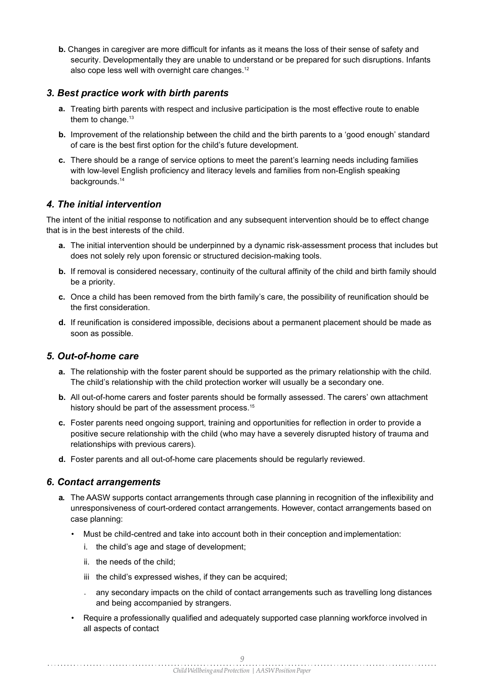**b.** Changes in caregiver are more difficult for infants as it means the loss of their sense of safety and security. Developmentally they are unable to understand or be prepared for such disruptions. Infants also cope less well with overnight care changes.<sup>12</sup>

#### *3. Best practice work with birth parents*

- **a.** Treating birth parents with respect and inclusive participation is the most effective route to enable them to change.<sup>13</sup>
- **b.** Improvement of the relationship between the child and the birth parents to a 'good enough' standard of care is the best first option for the child's future development.
- **c.** There should be a range of service options to meet the parent's learning needs including families with low-level English proficiency and literacy levels and families from non-English speaking backgrounds.<sup>14</sup>

#### *4. The initial intervention*

The intent of the initial response to notification and any subsequent intervention should be to effect change that is in the best interests of the child.

- **a.** The initial intervention should be underpinned by a dynamic risk-assessment process that includes but does not solely rely upon forensic or structured decision-making tools.
- **b.** If removal is considered necessary, continuity of the cultural affinity of the child and birth family should be a priority.
- Once a child has been removed from the birth family's care, the possibility of reunification should be **c.** the first consideration.
- **d.** If reunification is considered impossible, decisions about a permanent placement should be made as soon as possible.

#### *5. Out-of-home care*

- **a.** The relationship with the foster parent should be supported as the primary relationship with the child. The child's relationship with the child protection worker will usually be a secondary one.
- **b.** All out-of-home carers and foster parents should be formally assessed. The carers' own attachment history should be part of the assessment process.<sup>15</sup>
- Foster parents need ongoing support, training and opportunities for reflection in order to provide a **c.** positive secure relationship with the child (who may have a severely disrupted history of trauma and relationships with previous carers).
- Foster parents and all out-of-home care placements should be regularly reviewed. **d.**

#### *6. Contact arrangements*

- **a.** The AASW supports contact arrangements through case planning in recognition of the inflexibility and unresponsiveness of court-ordered contact arrangements. However, contact arrangements based on case planning:
	- Must be child-centred and take into account both in their conception and implementation:
		- i. the child's age and stage of development;
		- ii. the needs of the child;

- iii the child's expressed wishes, if they can be acquired;
- . any secondary impacts on the child of contact arrangements such as travelling long distances and being accompanied by strangers.

• Require a professionally qualified and adequately supported case planning workforce involved in all aspects of contact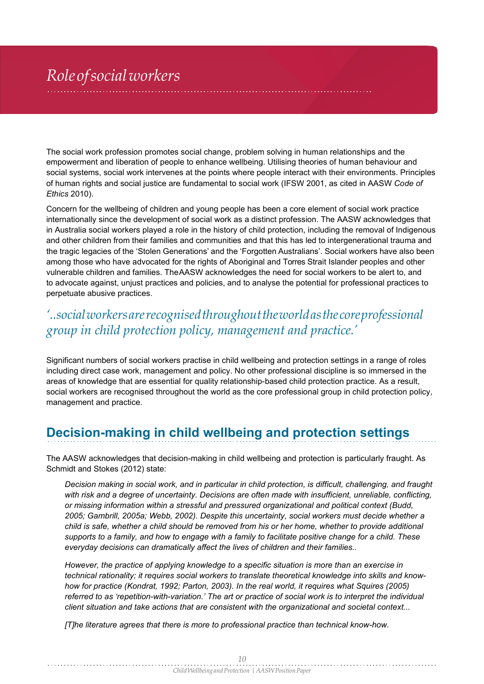# *Roleofsocialworkers*

The social work profession promotes social change, problem solving in human relationships and the empowerment and liberation of people to enhance wellbeing. Utilising theories of human behaviour and social systems, social work intervenes at the points where people interact with their environments. Principles of human rights and social justice are fundamental to social work (IFSW 2001, as cited in AASW *Code of Ethics* 2010).

Concern for the wellbeing of children and young people has been a core element of social work practice internationally since the development of social work as a distinct profession. The AASW acknowledges that in Australia social workers played a role in the history of child protection, including the removal of Indigenous and other children from their families and communities and that this has led to intergenerational trauma and the tragic legacies of the 'Stolen Generations' and the 'Forgotten Australians'. Social workers have also been among those who have advocated for the rights of Aboriginal and Torres Strait Islander peoples and other vulnerable children and families. TheAASW acknowledges the need for social workers to be alert to, and to advocate against, unjust practices and policies, and to analyse the potential for professional practices to perpetuate abusive practices.

### *'..socialworkersarerecognisedthroughouttheworldasthecoreprofessional group in child protection policy, management and practice.'*

Significant numbers of social workers practise in child wellbeing and protection settings in a range of roles including direct case work, management and policy. No other professional discipline is so immersed in the areas of knowledge that are essential for quality relationship-based child protection practice. As a result, social workers are recognised throughout the world as the core professional group in child protection policy, management and practice.

### **Decision-making in child wellbeing and protection settings**

The AASW acknowledges that decision-making in child wellbeing and protection is particularly fraught. As Schmidt and Stokes (2012) state:

*Decision making in social work, and in particular in child protection, is difficult, challenging, and fraught with risk and a degree of uncertainty. Decisions are often made with insufficient, unreliable, conflicting, or missing information within a stressful and pressured organizational and political context (Budd, 2005; Gambrill, 2005a; Webb, 2002). Despite this uncertainty, social workers must decide whether a child is safe, whether a child should be removed from his or her home, whether to provide additional supports to a family, and how to engage with a family to facilitate positive change for a child. These everyday decisions can dramatically affect the lives of children and their families..*

*However, the practice of applying knowledge to a specific situation is more than an exercise in technical rationality; it requires social workers to translate theoretical knowledge into skills and know*how for practice (Kondrat, 1992; Parton, 2003). In the real world, it requires what Squires (2005) *referred to as 'repetition-with-variation.' The art or practice of social work is to interpret the individual client situation and take actions that are consistent with the organizational and societal context...*

*[T]he literature agrees that there is more to professional practice than technical know-how.*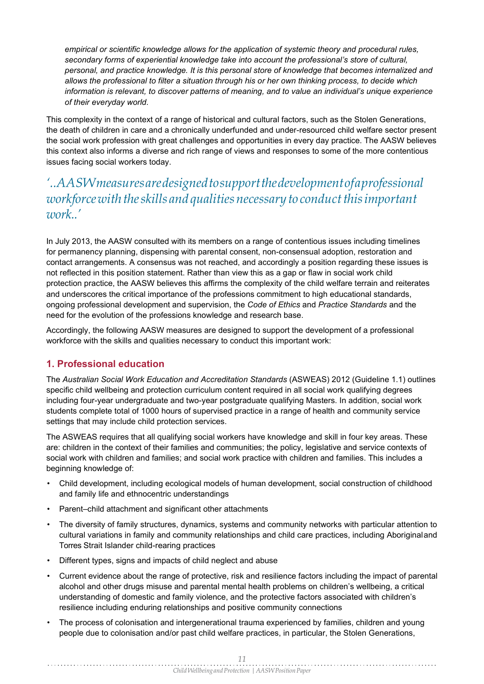*empirical or scientific knowledge allows for the application of systemic theory and procedural rules, secondary forms of experiential knowledge take into account the professional's store of cultural, personal, and practice knowledge. It is this personal store of knowledge that becomes internalized and allows the professional to filter a situation through his or her own thinking process, to decide which information is relevant, to discover patterns of meaning, and to value an individual's unique experience of their everyday world.*

This complexity in the context of a range of historical and cultural factors, such as the Stolen Generations, the death of children in care and a chronically underfunded and under-resourced child welfare sector present the social work profession with great challenges and opportunities in every day practice. The AASW believes this context also informs a diverse and rich range of views and responses to some of the more contentious issues facing social workers today.

### *'..AASWmeasuresaredesignedtosupportthedevelopmentofaprofessional workforce with the skills and qualities necessary to conduct this important work..'*

In July 2013, the AASW consulted with its members on a range of contentious issues including timelines for permanency planning, dispensing with parental consent, non-consensual adoption, restoration and contact arrangements. A consensus was not reached, and accordingly a position regarding these issues is not reflected in this position statement. Rather than view this as a gap or flaw in social work child protection practice, the AASW believes this affirms the complexity of the child welfare terrain and reiterates and underscores the critical importance of the professions commitment to high educational standards, ongoing professional development and supervision, the *Code of Ethics* and *Practice Standards* and the need for the evolution of the professions knowledge and research base.

Accordingly, the following AASW measures are designed to support the development of a professional workforce with the skills and qualities necessary to conduct this important work:

#### **1. Professional education**

The *Australian Social Work Education and Accreditation Standards* (ASWEAS) 2012 (Guideline 1.1) outlines specific child wellbeing and protection curriculum content required in all social work qualifying degrees including four-year undergraduate and two-year postgraduate qualifying Masters. In addition, social work students complete total of 1000 hours of supervised practice in a range of health and community service settings that may include child protection services.

The ASWEAS requires that all qualifying social workers have knowledge and skill in four key areas. These are: children in the context of their families and communities; the policy, legislative and service contexts of social work with children and families; and social work practice with children and families. This includes a beginning knowledge of:

- Child development, including ecological models of human development, social construction of childhood and family life and ethnocentric understandings
- Parent–child attachment and significant other attachments •
- The diversity of family structures, dynamics, systems and community networks with particular attention to cultural variations in family and community relationships and child care practices, including Aboriginaland Torres Strait Islander child-rearing practices •
- Different types, signs and impacts of child neglect and abuse •
- Current evidence about the range of protective, risk and resilience factors including the impact of parental alcohol and other drugs misuse and parental mental health problems on children's wellbeing, a critical understanding of domestic and family violence, and the protective factors associated with children's resilience including enduring relationships and positive community connections •
- The process of colonisation and intergenerational trauma experienced by families, children and young people due to colonisation and/or past child welfare practices, in particular, the Stolen Generations, •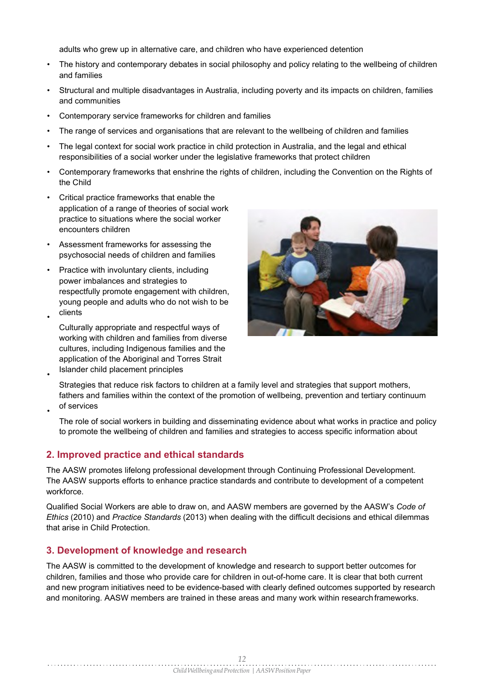adults who grew up in alternative care, and children who have experienced detention

- The history and contemporary debates in social philosophy and policy relating to the wellbeing of children and families •
- Structural and multiple disadvantages in Australia, including poverty and its impacts on children, families and communities •
- Contemporary service frameworks for children and families •
- The range of services and organisations that are relevant to the wellbeing of children and families •
- The legal context for social work practice in child protection in Australia, and the legal and ethical responsibilities of a social worker under the legislative frameworks that protect children •
- Contemporary frameworks that enshrine the rights of children, including the Convention on the Rights of the Child •
- Critical practice frameworks that enable the application of a range of theories of social work practice to situations where the social worker encounters children
- Assessment frameworks for assessing the psychosocial needs of children and families •
- $\bullet$  Practice with involuntary clients, including power imbalances and strategies to respectfully promote engagement with children, young people and adults who do not wish to be clients •
	- Culturally appropriate and respectful ways of working with children and families from diverse cultures, including Indigenous families and the application of the Aboriginal and Torres Strait Islander child placement principles



Strategies that reduce risk factors to children at a family level and strategies that support mothers, fathers and families within the context of the promotion of wellbeing, prevention and tertiary continuum of services

•

•

The role of social workers in building and disseminating evidence about what works in practice and policy to promote the wellbeing of children and families and strategies to access specific information about

#### **2. Improved practice and ethical standards**

The AASW promotes lifelong professional development through Continuing Professional Development. The AASW supports efforts to enhance practice standards and contribute to development of a competent workforce.

Qualified Social Workers are able to draw on, and AASW members are governed by the AASW's *Code of Ethics* (2010) and *Practice Standards* (2013) when dealing with the difficult decisions and ethical dilemmas that arise in Child Protection.

#### **3. Development of knowledge and research**

The AASW is committed to the development of knowledge and research to support better outcomes for children, families and those who provide care for children in out-of-home care. It is clear that both current and new program initiatives need to be evidence-based with clearly defined outcomes supported by research and monitoring. AASW members are trained in these areas and many work within research frameworks.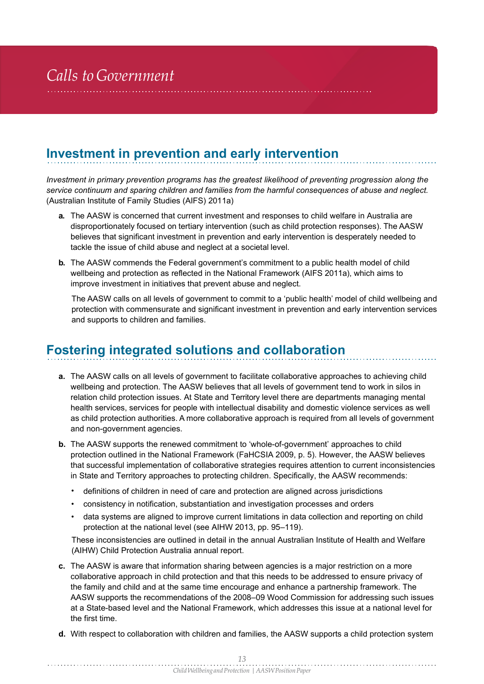### **Investment in prevention and early intervention**

*Investment in primary prevention programs has the greatest likelihood of preventing progression along the service continuum and sparing children and families from the harmful consequences of abuse and neglect.*  (Australian Institute of Family Studies (AIFS) 2011a)

- **a.** The AASW is concerned that current investment and responses to child welfare in Australia are disproportionately focused on tertiary intervention (such as child protection responses). The AASW believes that significant investment in prevention and early intervention is desperately needed to tackle the issue of child abuse and neglect at a societal level.
- **b.** The AASW commends the Federal government's commitment to a public health model of child wellbeing and protection as reflected in the National Framework (AIFS 2011a), which aims to improve investment in initiatives that prevent abuse and neglect.

The AASW calls on all levels of government to commit to a 'public health' model of child wellbeing and protection with commensurate and significant investment in prevention and early intervention services and supports to children and families.

### **Fostering integrated solutions and collaboration**

- **a.** The AASW calls on all levels of government to facilitate collaborative approaches to achieving child wellbeing and protection. The AASW believes that all levels of government tend to work in silos in relation child protection issues. At State and Territory level there are departments managing mental health services, services for people with intellectual disability and domestic violence services as well as child protection authorities. A more collaborative approach is required from all levels of government and non-government agencies.
- **b.** The AASW supports the renewed commitment to 'whole-of-government' approaches to child protection outlined in the National Framework (FaHCSIA 2009, p. 5). However, the AASW believes that successful implementation of collaborative strategies requires attention to current inconsistencies in State and Territory approaches to protecting children. Specifically, the AASW recommends:
	- definitions of children in need of care and protection are aligned across jurisdictions
	- consistency in notification, substantiation and investigation processes and orders
	- data systems are aligned to improve current limitations in data collection and reporting on child protection at the national level (see AIHW 2013, pp. 95–119).

These inconsistencies are outlined in detail in the annual Australian Institute of Health and Welfare (AIHW) Child Protection Australia annual report.

- The AASW is aware that information sharing between agencies is a major restriction on a more **c.** collaborative approach in child protection and that this needs to be addressed to ensure privacy of the family and child and at the same time encourage and enhance a partnership framework. The AASW supports the recommendations of the 2008–09 Wood Commission for addressing such issues at a State-based level and the National Framework, which addresses this issue at a national level for the first time.
- With respect to collaboration with children and families, the AASW supports a child protection system **d.**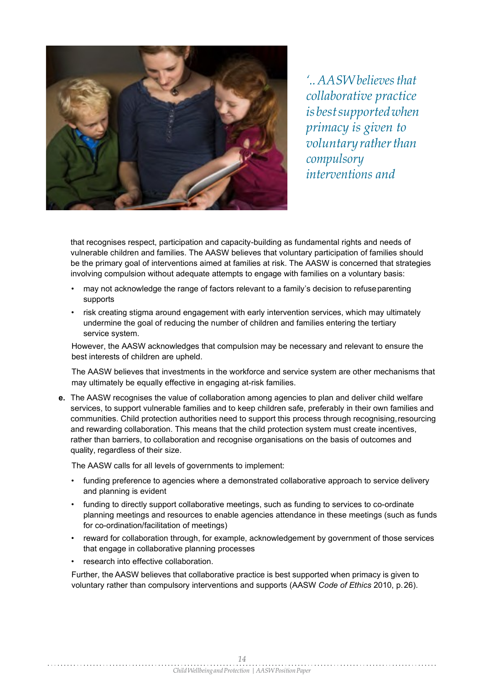

*'.. AASW believesthat collaborative practice isbestsupportedwhen primacy is given to voluntaryratherthan compulsory interventions and* 

that recognises respect, participation and capacity-building as fundamental rights and needs of vulnerable children and families. The AASW believes that voluntary participation of families should be the primary goal of interventions aimed at families at risk. The AASW is concerned that strategies involving compulsion without adequate attempts to engage with families on a voluntary basis:

- may not acknowledge the range of factors relevant to a family's decision to refuseparenting supports
- risk creating stigma around engagement with early intervention services, which may ultimately undermine the goal of reducing the number of children and families entering the tertiary service system.

However, the AASW acknowledges that compulsion may be necessary and relevant to ensure the best interests of children are upheld.

The AASW believes that investments in the workforce and service system are other mechanisms that may ultimately be equally effective in engaging at-risk families.

The AASW recognises the value of collaboration among agencies to plan and deliver child welfare **e.** services, to support vulnerable families and to keep children safe, preferably in their own families and communities. Child protection authorities need to support this process through recognising, resourcing and rewarding collaboration. This means that the child protection system must create incentives, rather than barriers, to collaboration and recognise organisations on the basis of outcomes and quality, regardless of their size.

The AASW calls for all levels of governments to implement:

- funding preference to agencies where a demonstrated collaborative approach to service delivery and planning is evident
- $\bullet$  funding to directly support collaborative meetings, such as funding to services to co-ordinate planning meetings and resources to enable agencies attendance in these meetings (such as funds for co-ordination/facilitation of meetings)
- reward for collaboration through, for example, acknowledgement by government of those services that engage in collaborative planning processes •
- research into effective collaboration. •

Further, the AASW believes that collaborative practice is best supported when primacy is given to voluntary rather than compulsory interventions and supports (AASW *Code of Ethics* 2010, p.26).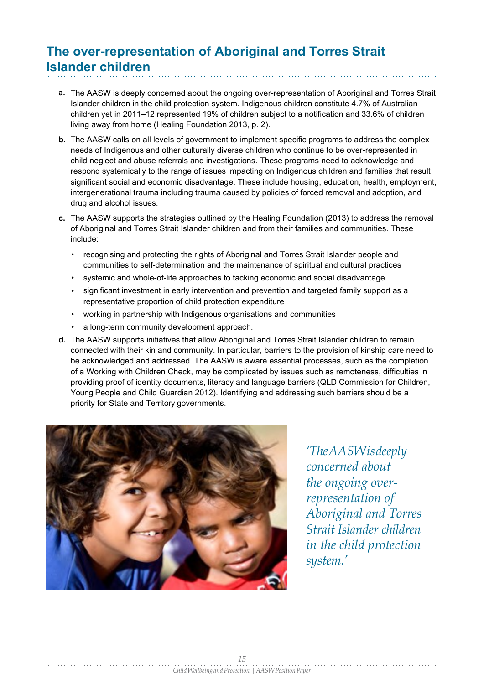### **The over-representation of Aboriginal and Torres Strait Islander children**

- **a.** The AASW is deeply concerned about the ongoing over-representation of Aboriginal and Torres Strait Islander children in the child protection system. Indigenous children constitute 4.7% of Australian children yet in 2011–12 represented 19% of children subject to a notification and 33.6% of children living away from home (Healing Foundation 2013, p. 2).
- **b**. The AASW calls on all levels of government to implement specific programs to address the complex needs of Indigenous and other culturally diverse children who continue to be over-represented in child neglect and abuse referrals and investigations. These programs need to acknowledge and respond systemically to the range of issues impacting on Indigenous children and families that result significant social and economic disadvantage. These include housing, education, health, employment, intergenerational trauma including trauma caused by policies of forced removal and adoption, and drug and alcohol issues.
- **c.** The AASW supports the strategies outlined by the Healing Foundation (2013) to address the removal of Aboriginal and Torres Strait Islander children and from their families and communities. These include:
	- recognising and protecting the rights of Aboriginal and Torres Strait Islander people and communities to self-determination and the maintenance of spiritual and cultural practices
	- systemic and whole-of-life approaches to tacking economic and social disadvantage •
	- significant investment in early intervention and prevention and targeted family support as a representative proportion of child protection expenditure •
	- $\bullet$   $\;\;$  working in partnership with Indigenous organisations and communities
	- a long-term community development approach. •
- **d.** The AASW supports initiatives that allow Aboriginal and Torres Strait Islander children to remain connected with their kin and community. In particular, barriers to the provision of kinship care need to be acknowledged and addressed. The AASW is aware essential processes, such as the completion of a Working with Children Check, may be complicated by issues such as remoteness, difficulties in providing proof of identity documents, literacy and language barriers (QLD Commission for Children, Young People and Child Guardian 2012). Identifying and addressing such barriers should be a priority for State and Territory governments.



*'TheAASWisdeeply concerned about the ongoing overrepresentation of Aboriginal and Torres Strait Islander children in the child protection system.'*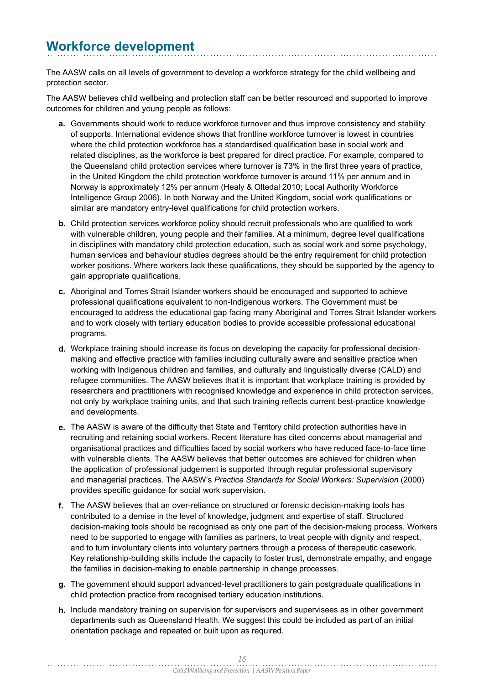### **Workforce development**

The AASW calls on all levels of government to develop a workforce strategy for the child wellbeing and protection sector.

The AASW believes child wellbeing and protection staff can be better resourced and supported to improve outcomes for children and young people as follows:

- **a.** Governments should work to reduce workforce turnover and thus improve consistency and stability of supports. International evidence shows that frontline workforce turnover is lowest in countries where the child protection workforce has a standardised qualification base in social work and related disciplines, as the workforce is best prepared for direct practice. For example, compared to the Queensland child protection services where turnover is 73% in the first three years of practice, in the United Kingdom the child protection workforce turnover is around 11% per annum and in Norway is approximately 12% per annum (Healy & Oltedal 2010; Local Authority Workforce Intelligence Group 2006). In both Norway and the United Kingdom, social work qualifications or similar are mandatory entry-level qualifications for child protection workers.
- **b**. Child protection services workforce policy should recruit professionals who are qualified to work with vulnerable children, young people and their families. At a minimum, degree level qualifications in disciplines with mandatory child protection education, such as social work and some psychology, human services and behaviour studies degrees should be the entry requirement for child protection worker positions. Where workers lack these qualifications, they should be supported by the agency to gain appropriate qualifications.
- Aboriginal and Torres Strait Islander workers should be encouraged and supported to achieve **c.** professional qualifications equivalent to non-Indigenous workers. The Government must be encouraged to address the educational gap facing many Aboriginal and Torres Strait Islander workers and to work closely with tertiary education bodies to provide accessible professional educational programs.
- Workplace training should increase its focus on developing the capacity for professional decision-**d.** making and effective practice with families including culturally aware and sensitive practice when working with Indigenous children and families, and culturally and linguistically diverse (CALD) and refugee communities. The AASW believes that it is important that workplace training is provided by researchers and practitioners with recognised knowledge and experience in child protection services, not only by workplace training units, and that such training reflects current best-practice knowledge and developments.
- The AASW is aware of the difficulty that State and Territory child protection authorities have in **e.** recruiting and retaining social workers. Recent literature has cited concerns about managerial and organisational practices and difficulties faced by social workers who have reduced face-to-face time with vulnerable clients. The AASW believes that better outcomes are achieved for children when the application of professional judgement is supported through regular professional supervisory and managerial practices. The AASW's *Practice Standards for Social Workers: Supervision* (2000) provides specific guidance for social work supervision.
- The AASW believes that an over-reliance on structured or forensic decision-making tools has **f.** contributed to a demise in the level of knowledge, judgment and expertise of staff. Structured decision-making tools should be recognised as only one part of the decision-making process. Workers need to be supported to engage with families as partners, to treat people with dignity and respect, and to turn involuntary clients into voluntary partners through a process of therapeutic casework. Key relationship-building skills include the capacity to foster trust, demonstrate empathy, and engage the families in decision-making to enable partnership in change processes.
- The government should support advanced-level practitioners to gain postgraduate qualifications in **g.** child protection practice from recognised tertiary education institutions.
- **h.** Include mandatory training on supervision for supervisors and supervisees as in other government departments such as Queensland Health. We suggest this could be included as part of an initial orientation package and repeated or built upon as required.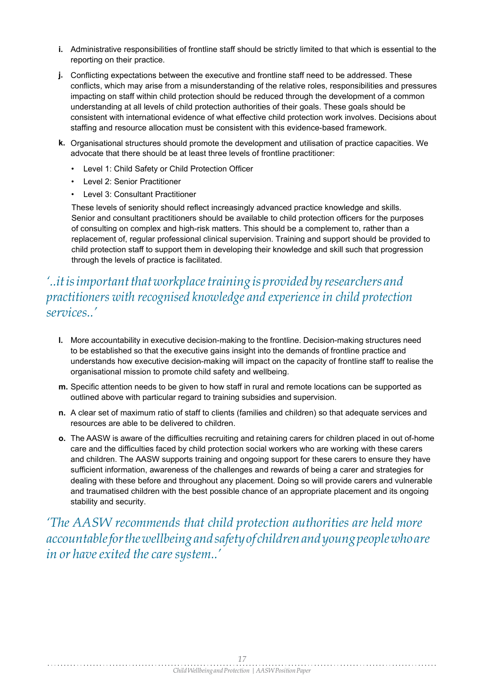- **i.** Administrative responsibilities of frontline staff should be strictly limited to that which is essential to the reporting on their practice.
- Conflicting expectations between the executive and frontline staff need to be addressed. These **j.** conflicts, which may arise from a misunderstanding of the relative roles, responsibilities and pressures impacting on staff within child protection should be reduced through the development of a common understanding at all levels of child protection authorities of their goals. These goals should be consistent with international evidence of what effective child protection work involves. Decisions about staffing and resource allocation must be consistent with this evidence-based framework.
- **k.** Organisational structures should promote the development and utilisation of practice capacities. We advocate that there should be at least three levels of frontline practitioner:
	- Level 1: Child Safety or Child Protection Officer
	- Level 2: Senior Practitioner
	- Level 3: Consultant Practitioner

These levels of seniority should reflect increasingly advanced practice knowledge and skills. Senior and consultant practitioners should be available to child protection officers for the purposes of consulting on complex and high-risk matters. This should be a complement to, rather than a replacement of, regular professional clinical supervision. Training and support should be provided to child protection staff to support them in developing their knowledge and skill such that progression through the levels of practice is facilitated.

### *'..itisimportantthatworkplacetraining is provided by researchers and practitioners with recognised knowledge and experience in child protection services..'*

- **l.** More accountability in executive decision-making to the frontline. Decision-making structures need to be established so that the executive gains insight into the demands of frontline practice and understands how executive decision-making will impact on the capacity of frontline staff to realise the organisational mission to promote child safety and wellbeing.
- **m.** Specific attention needs to be given to how staff in rural and remote locations can be supported as outlined above with particular regard to training subsidies and supervision.
- **n.** A clear set of maximum ratio of staff to clients (families and children) so that adequate services and resources are able to be delivered to children.
- The AASW is aware of the difficulties recruiting and retaining carers for children placed in out of-home **o.** care and the difficulties faced by child protection social workers who are working with these carers and children. The AASW supports training and ongoing support for these carers to ensure they have sufficient information, awareness of the challenges and rewards of being a carer and strategies for dealing with these before and throughout any placement. Doing so will provide carers and vulnerable and traumatised children with the best possible chance of an appropriate placement and its ongoing stability and security.

*'The AASW recommends that child protection authorities are held more accountableforthewellbeingandsafetyof childrenandyoungpeoplewhoare in* or have exited the care system..'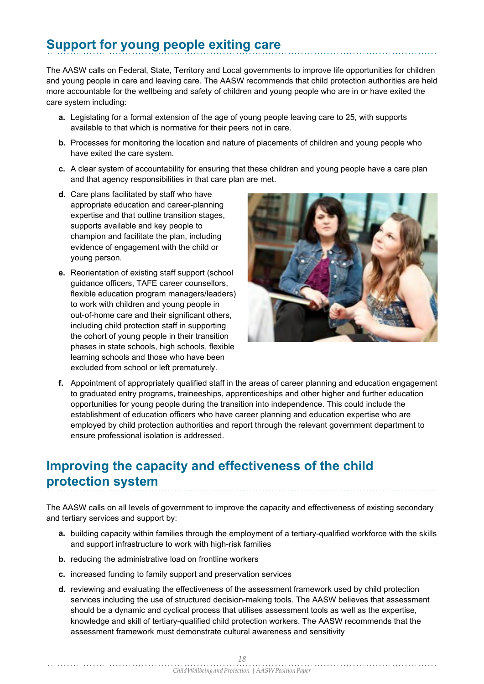# **Support for young people exiting care**

The AASW calls on Federal, State, Territory and Local governments to improve life opportunities for children and young people in care and leaving care. The AASW recommends that child protection authorities are held more accountable for the wellbeing and safety of children and young people who are in or have exited the care system including:

- **a.** Legislating for a formal extension of the age of young people leaving care to 25, with supports available to that which is normative for their peers not in care.
- **b.** Processes for monitoring the location and nature of placements of children and young people who have exited the care system.
- **c.** A clear system of accountability for ensuring that these children and young people have a care plan and that agency responsibilities in that care plan are met.
- **d.** Care plans facilitated by staff who have appropriate education and career-planning expertise and that outline transition stages, supports available and key people to champion and facilitate the plan, including evidence of engagement with the child or young person.
- **e.** Reorientation of existing staff support (school guidance officers, TAFE career counsellors, flexible education program managers/leaders) to work with children and young people in out-of-home care and their significant others, including child protection staff in supporting the cohort of young people in their transition phases in state schools, high schools, flexible learning schools and those who have been excluded from school or left prematurely.



Appointment of appropriately qualified staff in the areas of career planning and education engagement **f.** to graduated entry programs, traineeships, apprenticeships and other higher and further education opportunities for young people during the transition into independence. This could include the establishment of education officers who have career planning and education expertise who are employed by child protection authorities and report through the relevant government department to ensure professional isolation is addressed.

### **Improving the capacity and effectiveness of the child protection system**

The AASW calls on all levels of government to improve the capacity and effectiveness of existing secondary and tertiary services and support by:

- **a.** building capacity within families through the employment of a tertiary-qualified workforce with the skills and support infrastructure to work with high-risk families
- **b.** reducing the administrative load on frontline workers
- **c.** increased funding to family support and preservation services
- **d.** reviewing and evaluating the effectiveness of the assessment framework used by child protection services including the use of structured decision-making tools. The AASW believes that assessment should be a dynamic and cyclical process that utilises assessment tools as well as the expertise, knowledge and skill of tertiary-qualified child protection workers. The AASW recommends that the assessment framework must demonstrate cultural awareness and sensitivity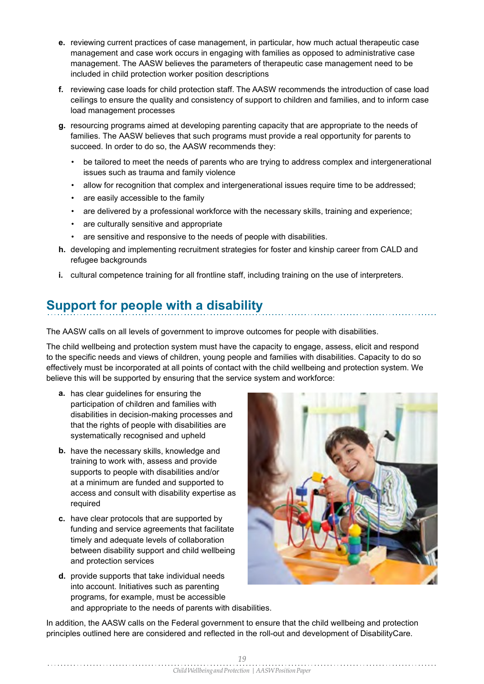- **e.** reviewing current practices of case management, in particular, how much actual therapeutic case management and case work occurs in engaging with families as opposed to administrative case management. The AASW believes the parameters of therapeutic case management need to be included in child protection worker position descriptions
- reviewing case loads for child protection staff. The AASW recommends the introduction of case load **f.** ceilings to ensure the quality and consistency of support to children and families, and to inform case load management processes
- resourcing programs aimed at developing parenting capacity that are appropriate to the needs of **g.** families. The AASW believes that such programs must provide a real opportunity for parents to succeed. In order to do so, the AASW recommends they:
	- be tailored to meet the needs of parents who are trying to address complex and intergenerational issues such as trauma and family violence
	- $\bullet$   $\,$  allow for recognition that complex and intergenerational issues require time to be addressed;
	- are easily accessible to the family •
	- $\bullet$  are delivered by a professional workforce with the necessary skills, training and experience;
	- are culturally sensitive and appropriate •
	- are sensitive and responsive to the needs of people with disabilities. •
- **h.** developing and implementing recruitment strategies for foster and kinship career from CALD and refugee backgrounds
- **i.** cultural competence training for all frontline staff, including training on the use of interpreters.

### **Support for people with a disability**

The AASW calls on all levels of government to improve outcomes for people with disabilities.

The child wellbeing and protection system must have the capacity to engage, assess, elicit and respond to the specific needs and views of children, young people and families with disabilities. Capacity to do so effectively must be incorporated at all points of contact with the child wellbeing and protection system. We believe this will be supported by ensuring that the service system and workforce:

- **a.** has clear guidelines for ensuring the participation of children and families with disabilities in decision-making processes and that the rights of people with disabilities are systematically recognised and upheld
- **b.** have the necessary skills, knowledge and training to work with, assess and provide supports to people with disabilities and/or at a minimum are funded and supported to access and consult with disability expertise as required
- **c.** have clear protocols that are supported by funding and service agreements that facilitate timely and adequate levels of collaboration between disability support and child wellbeing and protection services
- **d.** provide supports that take individual needs into account. Initiatives such as parenting programs, for example, must be accessible and appropriate to the needs of parents with disabilities.



In addition, the AASW calls on the Federal government to ensure that the child wellbeing and protection principles outlined here are considered and reflected in the roll-out and development of DisabilityCare.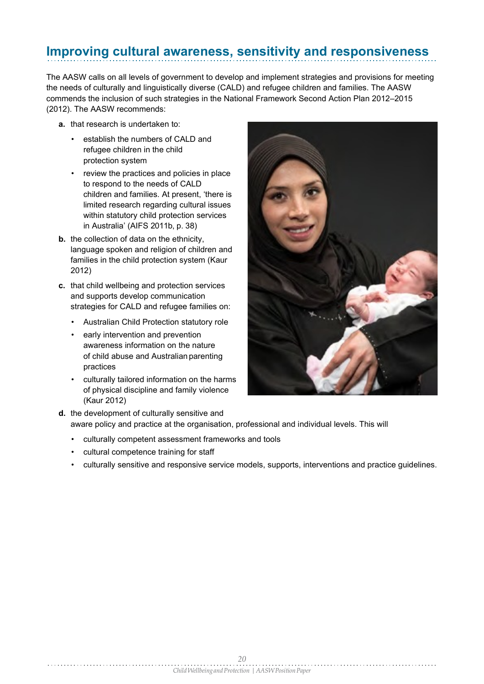### **Improving cultural awareness, sensitivity and responsiveness**

The AASW calls on all levels of government to develop and implement strategies and provisions for meeting the needs of culturally and linguistically diverse (CALD) and refugee children and families. The AASW commends the inclusion of such strategies in the National Framework Second Action Plan 2012–2015 (2012). The AASW recommends:

- **a.** that research is undertaken to:
	- establish the numbers of CALD and refugee children in the child protection system
	- review the practices and policies in place to respond to the needs of CALD children and families. At present, 'there is limited research regarding cultural issues within statutory child protection services in Australia' (AIFS 2011b, p. 38)
- **b.** the collection of data on the ethnicity, language spoken and religion of children and families in the child protection system (Kaur 2012)
- **c.** that child wellbeing and protection services and supports develop communication strategies for CALD and refugee families on:
	- Australian Child Protection statutory role
	- early intervention and prevention awareness information on the nature of child abuse and Australian parenting practices
	- culturally tailored information on the harms of physical discipline and family violence (Kaur 2012) •



- **d.** the development of culturally sensitive and aware policy and practice at the organisation, professional and individual levels. This will
	- culturally competent assessment frameworks and tools
	- cultural competence training for staff
	- culturally sensitive and responsive service models, supports, interventions and practice guidelines.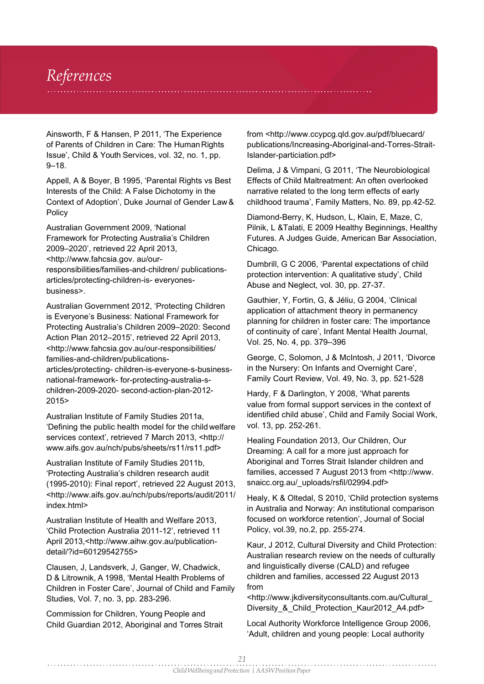## *References*

Ainsworth, F & Hansen, P 2011, 'The Experience of Parents of Children in Care: The Human Rights Issue', Child & Youth Services, vol. 32, no. 1, pp. 9–18.

Appell, A & Boyer, B 1995, 'Parental Rights vs Best Interests of the Child: A False Dichotomy in the Context of Adoption', Duke Journal of Gender Law & Policy

Australian Government 2009, 'National Framework for Protecting Australia's Children 2009–2020', retrieved 22 April 2013, [<http://www.fahcsia.gov.](http://www.fahcsia.gov/) au/ourresponsibilities/families-and-children/ publicationsarticles/protecting-children-is- everyonesbusiness>.

Australian Government 2012, 'Protecting Children is Everyone's Business: National Framework for Protecting Australia's Children 2009–2020: Second Action Plan 2012–2015', retrieved 22 April 2013, [<http://www.fahcsia.gov.au/our-responsibilities/](http://www.fahcsia.gov.au/our-responsibilities/) families-and-children/publicationsarticles/protecting- children-is-everyone-s-businessnational-framework- for-protecting-australia-schildren-2009-2020- second-action-plan-2012- 2015>

Australian Institute of Family Studies 2011a, 'Defining the public health model for the child welfare services context', retrieved 7 March 2013, <http:// [www.aifs.gov.au/nch/pubs/sheets/rs11/rs11.pdf>](http://www.aifs.gov.au/nch/pubs/sheets/rs11/rs11.pdf)

Australian Institute of Family Studies 2011b, 'Protecting Australia's children research audit (1995-2010): Final report', retrieved 22 August 2013, [<http://www.aifs.gov.au/nch/pubs/reports/audit/2011/](http://www.aifs.gov.au/nch/pubs/reports/audit/2011/) index html>

Australian Institute of Health and Welfare 2013, 'Child Protection Australia 2011-12', retrieved 11 April [2013,<http://www.](http://www.aihw.gov.au/publication-)aih[w.gov.au/publication](http://www.aihw.gov.au/publication-)detail/?id=60129542755>

Clausen, J, Landsverk, J, Ganger, W, Chadwick, D & Litrownik, A 1998, 'Mental Health Problems of Children in Foster Care', Journal of Child and Family Studies, Vol. 7, no. 3, pp. 283-296.

Commission for Children, Young People and Child Guardian 2012, Aboriginal and Torres Strait

[from <http://www.ccypcg.qld.gov.au/pdf/bluecard/](http://www.ccypcg.qld.gov.au/pdf/bluecard/) publications/Increasing-Aboriginal-and-Torres-Strait-Islander-particiation.pdf>

Delima, J & Vimpani, G 2011, 'The Neurobiological Effects of Child Maltreatment: An often overlooked narrative related to the long term effects of early childhood trauma', Family Matters, No. 89, pp.42-52.

Diamond-Berry, K, Hudson, L, Klain, E, Maze, C, Pilnik, L &Talati, E 2009 Healthy Beginnings, Healthy Futures. A Judges Guide, American Bar Association, Chicago.

Dumbrill, G C 2006, 'Parental expectations of child protection intervention: A qualitative study', Child Abuse and Neglect, vol. 30, pp. 27-37.

Gauthier, Y, Fortin, G, & Jéliu, G 2004, 'Clinical application of attachment theory in permanency planning for children in foster care: The importance of continuity of care', Infant Mental Health Journal, Vol. 25, No. 4, pp. 379–396

George, C, Solomon, J & McIntosh, J 2011, 'Divorce in the Nursery: On Infants and Overnight Care', Family Court Review, Vol. 49, No. 3, pp. 521-528

Hardy, F & Darlington, Y 2008, 'What parents value from formal support services in the context of identified child abuse', Child and Family Social Work, vol. 13, pp. 252-261.

Healing Foundation 2013, Our Children, Our Dreaming: A call for a more just approach for Aboriginal and Torres Strait Islander children and families, accessed 7 August 2013 [from <http://www.](http://www/) snaicc.org.au/\_uploads/rsfil/02994.pdf>

Healy, K & Oltedal, S 2010, 'Child protection systems in Australia and Norway: An institutional comparison focused on workforce retention', Journal of Social Policy, vol.39, no.2, pp. 255-274.

Kaur, J 2012, Cultural Diversity and Child Protection: Australian research review on the needs of culturally and linguistically diverse (CALD) and refugee children and families, accessed 22 August 2013 from

[<http://www.jkdiversityconsultants.com.au/Cultural\\_](http://www.jkdiversityconsultants.com.au/Cultural_) Diversity\_&\_Child\_Protection\_Kaur2012\_A4.pdf>

Local Authority Workforce Intelligence Group 2006, 'Adult, children and young people: Local authority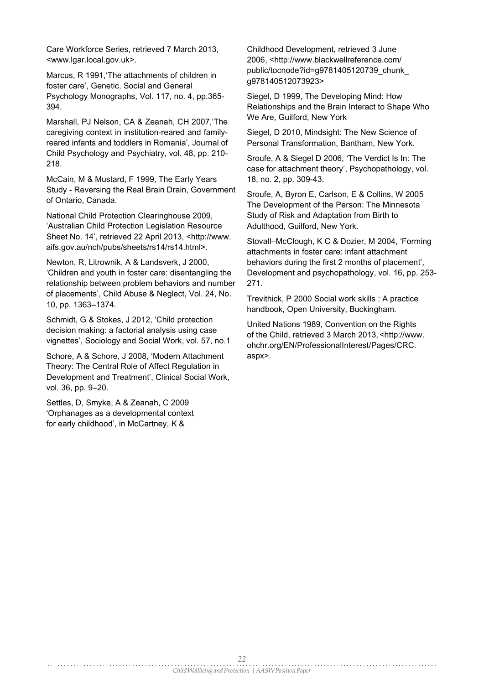Care Workforce Series, retrieved 7 March 2013, [<www.lgar.local.gov.uk>.](http://www.lgar.local.gov.uk/)

Marcus, R 1991,'The attachments of children in foster care', Genetic, Social and General Psychology Monographs, Vol. 117, no. 4, pp.365- 394.

Marshall, PJ Nelson, CA & Zeanah, CH 2007,'The caregiving context in institution-reared and familyreared infants and toddlers in Romania', Journal of Child Psychology and Psychiatry, vol. 48, pp. 210- 218.

McCain, M & Mustard, F 1999, The Early Years Study - Reversing the Real Brain Drain, Government of Ontario, Canada.

National Child Protection Clearinghouse 2009, 'Australian Child Protection Legislation Resource Sheet No. 14', retrieved 22 April 2013, [<http://www.](http://www/) aifs.gov.au/nch/pubs/sheets/rs14/rs14.html>.

Newton, R, Litrownik, A & Landsverk, J 2000, 'Children and youth in foster care: disentangling the relationship between problem behaviors and number of placements', Child Abuse & Neglect, Vol. 24, No. 10, pp. 1363–1374.

Schmidt, G & Stokes, J 2012, 'Child protection decision making: a factorial analysis using case vignettes', Sociology and Social Work, vol. 57, no.1

Schore, A & Schore, J 2008, 'Modern Attachment Theory: The Central Role of Affect Regulation in Development and Treatment', Clinical Social Work, vol. 36, pp. 9–20.

Settles, D, Smyke, A & Zeanah, C 2009 'Orphanages as a developmental context for early childhood', in McCartney, K &

Childhood Development, retrieved 3 June 2006, [<http://www.blackwellreference.com/](http://www.blackwellreference.com/) public/tocnode?id=g9781405120739\_chunk\_ g978140512073923>

Siegel, D 1999, The Developing Mind: How Relationships and the Brain Interact to Shape Who We Are, Guilford, New York

Siegel, D 2010, Mindsight: The New Science of Personal Transformation, Bantham, New York.

Sroufe, A & Siegel D 2006, 'The Verdict Is In: The case for attachment theory', Psychopathology, vol. 18, no. 2, pp. 309-43.

Sroufe, A, Byron E, Carlson, E & Collins, W 2005 The Development of the Person: The Minnesota Study of Risk and Adaptation from Birth to Adulthood, Guilford, New York.

Stovall–McClough, K C & Dozier, M 2004, 'Forming attachments in foster care: infant attachment behaviors during the first 2 months of placement', Development and psychopathology, vol. 16, pp. 253- 271.

Trevithick, P 2000 Social work skills : A practice handbook, Open University, Buckingham.

United Nations 1989, Convention on the Rights of the Child, retrieved 3 March 2013, [<http://www.](http://www/) ohchr.org/EN/ProfessionalInterest/Pages/CRC. aspx>.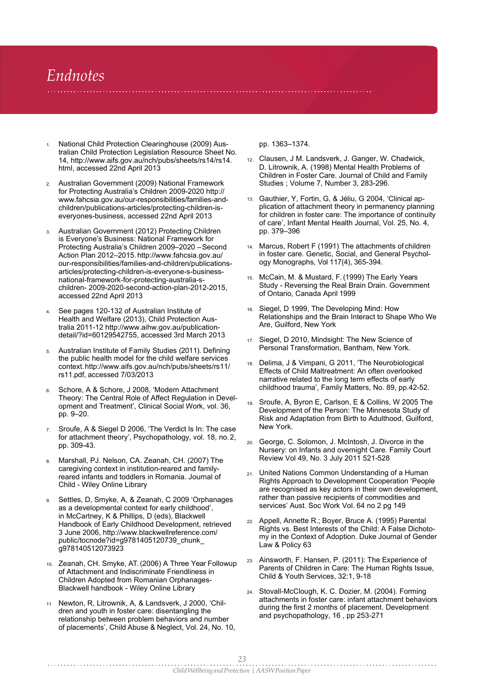## *Endnotes*

- <sup>1</sup>. National Child Protection Clearinghouse (2009) Aus- pp. 1363–1374. tralian Child Protection Legislation Resource Sheet No. 14, [http://www.aifs.gov.au/nch/pubs/sheets/rs14/rs14.](http://www.aifs.gov.au/nch/pubs/sheets/rs14/rs14) html, accessed 22nd April 2013
- Australian Government (2009) National Framework 2. for Protecting Australia's Children 2009-2020 http:// [www.fahcsia.gov.au/our-responsibilities/families-and](http://www.fahcsia.gov.au/our-responsibilities/families-and-)children/publications-articles/protecting-children-iseveryones-business, accessed 22nd April 2013
- Australian Government (2012) Protecting Children 3. is Everyone's Business: National Framework for Protecting Australia's Children 2009–2020 –Second Action Plan 2012–2015. <http://www.fahcsia.gov.au/> our-responsibilities/families-and-children/publicationsarticles/protecting-children-is-everyone-s-businessnational-framework-for-protecting-australia-schildren- 2009-2020-second-action-plan-2012-2015, accessed 22nd April 2013
- $_{4.}$  See pages 120-132 of Australian Institute of  $_{\rm 16.}$ Health and Welfare (2013), Child Protection Australia 2011-12 [http://www.aihw.gov.au/publication](http://www.aihw.gov.au/publication-)detail/?id=60129542755, accessed 3rd March 2013
- Australian Institute of Family Studies (2011). Defining the public health model for the child welfare services context[.http://www.aifs.gov.au/nch/pubs/sheets/rs11/](http://www.aifs.gov.au/nch/pubs/sheets/rs11/) rs11.pdf, accessed 7/03/2013 5.
- Schore, A & Schore, J 2008, 'Modern Attachment Theory: The Central Role of Affect Regulation in Development and Treatment', Clinical Social Work, vol. 36, pp. 9–20. 6.
- Sroufe, A & Siegel D 2006, 'The Verdict Is In: The case for attachment theory', Psychopathology, vol. 18, no.2, pp. 309-43. 7.
- Marshall, PJ. Nelson, CA. Zeanah, CH. (2007) The caregiving context in institution-reared and familyreared infants and toddlers in Romania. Journal of Child - Wiley Online Library 8.
- Settles, D, Smyke, A, & Zeanah, C 2009 'Orphanages as a developmental context for early childhood', in McCartney, K & Phillips, D (eds), Blackwell Handbook of Early Childhood Development, retrieved 3 June 2006, <http://www.blackwellreference.com/> public/tocnode?id=g9781405120739\_chunk\_ g978140512073923 9.
- 10. Zeanah, CH. Smyke, AT. (2006) A Three Year Followup <sup>23.</sup> of Attachment and Indiscriminate Friendliness in Children Adopted from Romanian Orphanages-Blackwell handbook - Wiley Online Library
- Newton, R, Litrownik, A, & Landsverk, J 2000, 'Chil-11 dren and youth in foster care: disentangling the relationship between problem behaviors and number of placements', Child Abuse & Neglect, Vol. 24, No. 10,

- Clausen, J M. Landsverk, J. Ganger, W. Chadwick, 12. D. Litrownik, A. (1998) Mental Health Problems of Children in Foster Care. Journal of Child and Family Studies ; Volume 7, Number 3, 283-296.
- Gauthier, Y, Fortin, G, & Jéliu, G 2004, 'Clinical ap-13. plication of attachment theory in permanency planning for children in foster care: The importance of continuity of care', Infant Mental Health Journal, Vol. 25, No. 4, pp. 379–396
- Marcus, Robert F (1991) The attachments of children 14. in foster care. Genetic, Social, and General Psychology Monographs, Vol 117(4), 365-394.
- McCain, M. & Mustard, F. (1999) The Early Years 15. Study - Reversing the Real Brain Drain. Government of Ontario, Canada April 1999
- 16. Siegel, D 1999, The Developing Mind: How Relationships and the Brain Interact to Shape Who We Are, Guilford, New York
- Siegel, D 2010, Mindsight: The New Science of 17. Personal Transformation, Bantham, New York.
- Delima, J & Vimpani, G 2011, 'The Neurobiological Effects of Child Maltreatment: An often overlooked narrative related to the long term effects of early childhood trauma', Family Matters, No. 89, pp.42-52. 18.
- Sroufe, A, Byron E, Carlson, E & Collins, W 2005 The 19. Development of the Person: The Minnesota Study of Risk and Adaptation from Birth to Adulthood, Guilford, New York.
- George, C. Solomon, J. McIntosh, J. Divorce in the 20. Nursery: on Infants and overnight Care. Family Court Review Vol 49, No. 3 July 2011 521-528
- United Nations Common Understanding of a Human 21. Rights Approach to Development Cooperation 'People are recognised as key actors in their own development, rather than passive recipients of commodities and services' Aust. Soc Work Vol. 64 no 2 pg 149
- Appell, Annette R.; Boyer, Bruce A. (1995) Parental 22. Rights vs. Best Interests of the Child: A False Dichotomy in the Context of Adoption. Duke Journal of Gender Law & Policy 63
- Ainsworth, F. Hansen, P. (2011): The Experience of Parents of Children in Care: The Human Rights Issue, Child & Youth Services, 32:1, 9-18
- Stovall-McClough, K. C. Dozier, M. (2004). Forming 24. attachments in foster care: infant attachment behaviors during the first 2 months of placement. Development and psychopathology, 16 , pp 253-271